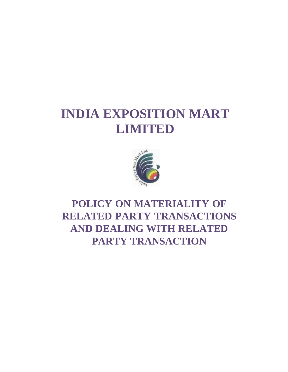# **INDIA EXPOSITION MART LIMITED**



# **POLICY ON MATERIALITY OF RELATED PARTY TRANSACTIONS AND DEALING WITH RELATED PARTY TRANSACTION**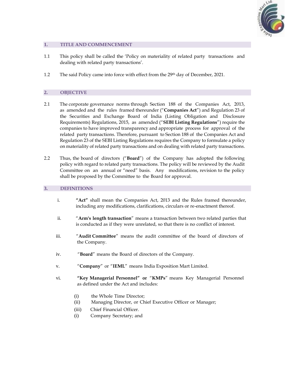

# **1. TITLE AND COMMENCEMENT**

- 1.1 This policy shall be called the 'Policy on materiality of related party transactions and dealing with related party transactions'.
- 1.2 The said Policy came into force with effect from the 29<sup>th</sup> day of December, 2021.

#### **2. OBJECTIVE**

- 2.1 The corporate governance norms through Section 188 of the Companies Act, 2013, as amended and the rules framed thereunder ("**Companies Act**") and Regulation 23 of the Securities and Exchange Board of India (Listing Obligation and Disclosure Requirements) Regulations, 2015, as amended ("**SEBI Listing Regulations**") require the companies to have improved transparency and appropriate process for approval of the related party transactions. Therefore, pursuant to Section 188 of the Companies Act and Regulation 23 of the SEBI Listing Regulations requires the Company to formulate a policy on materiality of related party transactions and on dealing with related party transactions.
- 2.2 Thus, the board of directors ("**Board**") of the Company has adopted the following policy with regard to related party transactions. The policy will be reviewed by the Audit Committee on an annual or "need" basis. Any modifications, revision to the policy shall be proposed by the Committee to the Board for approval.

#### **3. DEFINITIONS**

- i. **"Act"** shall mean the Companies Act, 2013 and the Rules framed thereunder, including any modifications, clarifications, circulars or re-enactment thereof.
- ii. "**Arm's length transaction**" means a transaction between two related parties that is conducted as if they were unrelated, so that there is no conflict of interest.
- iii. "**Audit Committee**" means the audit committee of the board of directors of the Company.
- iv. "**Board**" means the Board of directors of the Company.
- v. "**Company**" or "**IEML**" means India Exposition Mart Limited.
- vi. **"Key Managerial Personnel" or** "**KMPs**" means Key Managerial Personnel as defined under the Act and includes:
	- (i) the Whole Time Director;
	- (ii) Managing Director, or Chief Executive Officer or Manager;
	- (iii) Chief Financial Officer.
	- (i) Company Secretary; and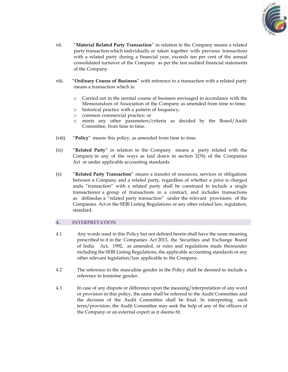

- vii. "**Material Related Party Transaction**" in relation to the Company means a related party transaction which individually or taken together with previous transactions with a related party during a financial year, exceeds ten per cent of the annual consolidated turnover of the Company as per the last audited financial statements of the Company.
- viii. "**Ordinary Course of Business**" with reference to a transaction with a related party means a transaction which is:
	- o Carried out in the normal course of business envisaged in accordance with the Memorandum of Association of the Company as amended from time to time;
	- o historical practice with a pattern of frequency;
	- o common commercial practice; or
	- o meets any other parameters/criteria as decided by the Board/Audit Committee, from time to time.
- (viii) "**Policy**" means this policy, as amended from time to time.
- (ix) "**Related Party**" in relation to the Company means a party related with the Company in any of the ways as laid down in section 2(76) of the Companies Act or under applicable accounting standards.
- (x) "**Related Party Transaction**" means a transfer of resources, services or obligations between a Company and a related party, regardless of whether a price is charged anda "transaction" with a related party shall be construed to include a single transactionor a group of transactions in a contract, and includes transactions as definedas a "related party transaction" under the relevant provisions of the Companies Act or the SEBI Listing Regulations or any other related law, regulation, standard.

# **4. INTERPRETATION**

- 4.1 Any words used in this Policy but not defined herein shall have the same meaning prescribed to it in the Companies Act 2013, the Securities and Exchange Board of India Act, 1992, as amended, or rules and regulations made thereunder including the SEBI Listing Regulations, the applicable accounting standards or any other relevant legislation/law applicable to the Company.
- 4.2 The reference to the masculine gender in the Policy shall be deemed to include a reference to feminine gender.
- 4.3 In case of any dispute or difference upon the meaning/interpretation of any word or provision in this policy, the same shall be referred to the Audit Committee and the decision of the Audit Committee shall be final. In interpreting such term/provision, the Audit Committee may seek the help of any of the officers of the Company or an external expert as it deems fit.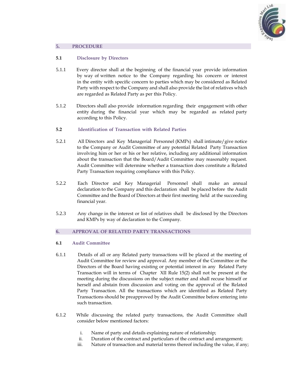

#### **5. PROCEDURE**

#### **5.1 Disclosure by Directors**

- 5.1.1 Every director shall at the beginning of the financial year provide information by way of written notice to the Company regarding his concern or interest in the entity with specific concern to parties which may be considered as Related Party with respect to the Company and shall also provide the list of relatives which are regarded as Related Party as per this Policy.
- 5.1.2 Directors shall also provide information regarding their engagement with other entity during the financial year which may be regarded as related party according to this Policy.
- **5.2 Identification of Transaction with Related Parties**
- 5.2.1 All Directors and Key Managerial Personnel (KMPs) shall intimate/give notice to the Company or Audit Committee of any potential Related Party Transaction involving him or her or his or her relative, including any additional information about the transaction that the Board/Audit Committee may reasonably request. Audit Committee will determine whether a transaction does constitute a Related Party Transaction requiring compliance with this Policy.
- 5.2.2 Each Director and Key Managerial Personnel shall make an annual declaration to the Company and this declaration shall be placed before the Audit Committee and the Board of Directors at their first meeting held at the succeeding financial year.
- 5.2.3 Any change in the interest or list of relatives shall be disclosed by the Directors and KMPs by way of declaration to the Company.

#### **6. APPROVAL OF RELATED PARTY TRANSACTIONS**

#### **6.1 Audit Committee**

- 6.1.1 Details of all or any Related party transactions will be placed at the meeting of Audit Committee for review and approval. Any member of the Committee or the Directors of the Board having existing or potential interest in any Related Party Transaction will in terms of Chapter XII Rule 15(2) shall not be present at the meeting during the discussions on the subject matter and shall recuse himself or herself and abstain from discussion and voting on the approval of the Related Party Transaction. All the transactions which are identified as Related Party Transactions should be preapproved by the Audit Committee before entering into such transaction.
- 6.1.2 While discussing the related party transactions, the Audit Committee shall consider below mentioned factors:
	- i. Name of party and details explaining nature of relationship;
	- ii. Duration of the contract and particulars of the contract and arrangement;
	- iii. Nature of transaction and material terms thereof including the value, if any;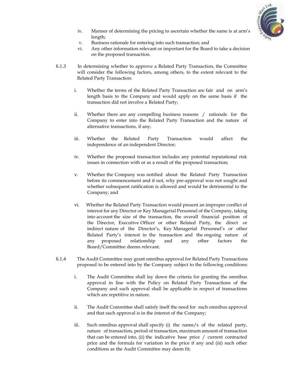

- iv. Manner of determining the pricing to ascertain whether the same is at arm's length;
- v. Business rationale for entering into such transaction; and
- vi. Any other information relevant or important for the Board to take a decision on the proposed transaction.
- 6.1.3 In determining whether to approve a Related Party Transaction, the Committee will consider the following factors, among others, to the extent relevant to the Related Party Transaction:
	- i. Whether the terms of the Related Party Transaction are fair and on arm's length basis to the Company and would apply on the same basis if the transaction did not involve a Related Party;
	- ii. Whether there are any compelling business reasons / rationale for the Company to enter into the Related Party Transaction and the nature of alternative transactions, if any;
	- iii. Whether the Related Party Transaction would affect the independence of an independent Director;
	- iv. Whether the proposed transaction includes any potential reputational risk issues in connection with or as a result of the proposed transaction;
	- v. Whether the Company was notified about the Related Party Transaction before its commencement and if not, why pre-approval was not sought and whether subsequent ratification is allowed and would be detrimental to the Company; and
	- vi. Whether the Related Party Transaction would present an improper conflict of interest for any Director or Key Managerial Personnel of the Company, taking into account the size of the transaction, the overall financial position of the Director, Executive Officer or other Related Party, the direct or indirect nature of the Director's, Key Managerial Personnel's or other Related Party's interest in the transaction and the ongoing nature of any proposed relationship and any other factors the Board/Committee deems relevant.
- 6.1.4 The Audit Committee may grant omnibus approval for Related Party Transactions proposed to be entered into by the Company subject to the following conditions:
	- i. The Audit Committee shall lay down the criteria for granting the omnibus approval in line with the Policy on Related Party Transactions of the Company and such approval shall be applicable in respect of transactions which are repetitive in nature.
	- ii. The Audit Committee shall satisfy itself the need for such omnibus approval and that such approval is in the interest of the Company;
	- iii. Such omnibus approval shall specify (i) the name/s of the related party, nature of transaction, period of transaction, maximum amount of transaction that can be entered into, (ii) the indicative base price / current contracted price and the formula for variation in the price if any and (iii) such other conditions as the Audit Committee may deem fit;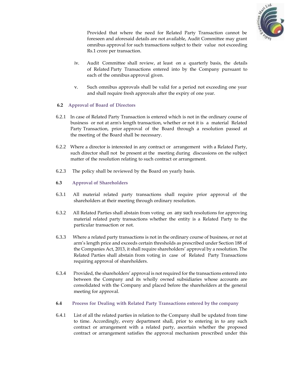

Provided that where the need for Related Party Transaction cannot be foreseen and aforesaid details are not available, Audit Committee may grant omnibus approval for such transactions subject to their value not exceeding Rs.1 crore per transaction.

- iv. Audit Committee shall review, at least on a quarterly basis, the details of Related Party Transactions entered into by the Company pursuant to each of the omnibus approval given.
- v. Such omnibus approvals shall be valid for a period not exceeding one year and shall require fresh approvals after the expiry of one year.

#### **6.2 Approval of Board of Directors**

- 6.2.1 In case of Related Party Transaction is entered which is not in the ordinary course of business or not at arm's length transaction, whether or not it is a material Related Party Transaction, prior approval of the Board through a resolution passed at the meeting of the Board shall be necessary.
- 6.2.2 Where a director is interested in any contract or arrangement with a Related Party, such director shall not be present at the meeting during discussions on the subject matter of the resolution relating to such contract or arrangement.
- 6.2.3 The policy shall be reviewed by the Board on yearly basis.

#### **6.3 Approval of Shareholders**

- 6.3.1 All material related party transactions shall require prior approval of the shareholders at their meeting through ordinary resolution.
- 6.3.2 All Related Parties shall abstain from voting on any such resolutions for approving material related party transactions whether the entity is a Related Party to the particular transaction or not.
- 6.3.3 Where a related party transactions is not in the ordinary course of business, or not at arm's length price and exceeds certain thresholds as prescribed under Section 188 of the Companies Act, 2013, it shall require shareholders' approval by a resolution. The Related Parties shall abstain from voting in case of Related Party Transactions requiring approval of shareholders.
- 6.3.4 Provided, the shareholders' approval is not required for the transactions entered into between the Company and its wholly owned subsidiaries whose accounts are consolidated with the Company and placed before the shareholders at the general meeting for approval.
- **6.4 Process for Dealing with Related Party Transactions entered by the company**
- 6.4.1 List of all the related parties in relation to the Company shall be updated from time to time. Accordingly, every department shall, prior to entering in to any such contract or arrangement with a related party, ascertain whether the proposed contract or arrangement satisfies the approval mechanism prescribed under this